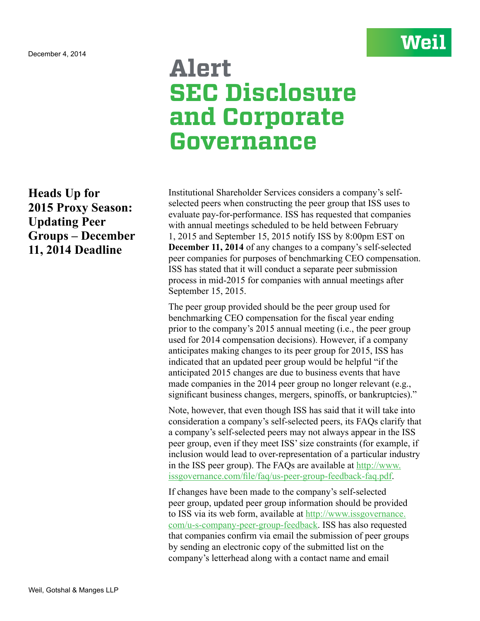

## **Alert SEC Disclosure and Corporate Governance**

**Heads Up for 2015 Proxy Season: Updating Peer Groups – December 11, 2014 Deadline**

Institutional Shareholder Services considers a company's selfselected peers when constructing the peer group that ISS uses to evaluate pay-for-performance. ISS has requested that companies with annual meetings scheduled to be held between February 1, 2015 and September 15, 2015 notify ISS by 8:00pm EST on **December 11, 2014** of any changes to a company's self-selected peer companies for purposes of benchmarking CEO compensation. ISS has stated that it will conduct a separate peer submission process in mid-2015 for companies with annual meetings after September 15, 2015.

The peer group provided should be the peer group used for benchmarking CEO compensation for the fiscal year ending prior to the company's 2015 annual meeting (i.e., the peer group used for 2014 compensation decisions). However, if a company anticipates making changes to its peer group for 2015, ISS has indicated that an updated peer group would be helpful "if the anticipated 2015 changes are due to business events that have made companies in the 2014 peer group no longer relevant (e.g., significant business changes, mergers, spinoffs, or bankruptcies)."

Note, however, that even though ISS has said that it will take into consideration a company's self-selected peers, its FAQs clarify that a company's self-selected peers may not always appear in the ISS peer group, even if they meet ISS' size constraints (for example, if inclusion would lead to over-representation of a particular industry in the ISS peer group). The FAQs are available at [http://www.](http://www.issgovernance.com/file/faq/us-peer-group-feedback-faq.pdf) [issgovernance.com/file/faq/us-peer-group-feedback-faq.pdf](http://www.issgovernance.com/file/faq/us-peer-group-feedback-faq.pdf).

If changes have been made to the company's self-selected peer group, updated peer group information should be provided to ISS via its web form, available at [http://www.issgovernance.](http://www.issgovernance.com/u-s-company-peer-group-feedback) [com/u-s-company-peer-group-feedback](http://www.issgovernance.com/u-s-company-peer-group-feedback). ISS has also requested that companies confirm via email the submission of peer groups by sending an electronic copy of the submitted list on the company's letterhead along with a contact name and email